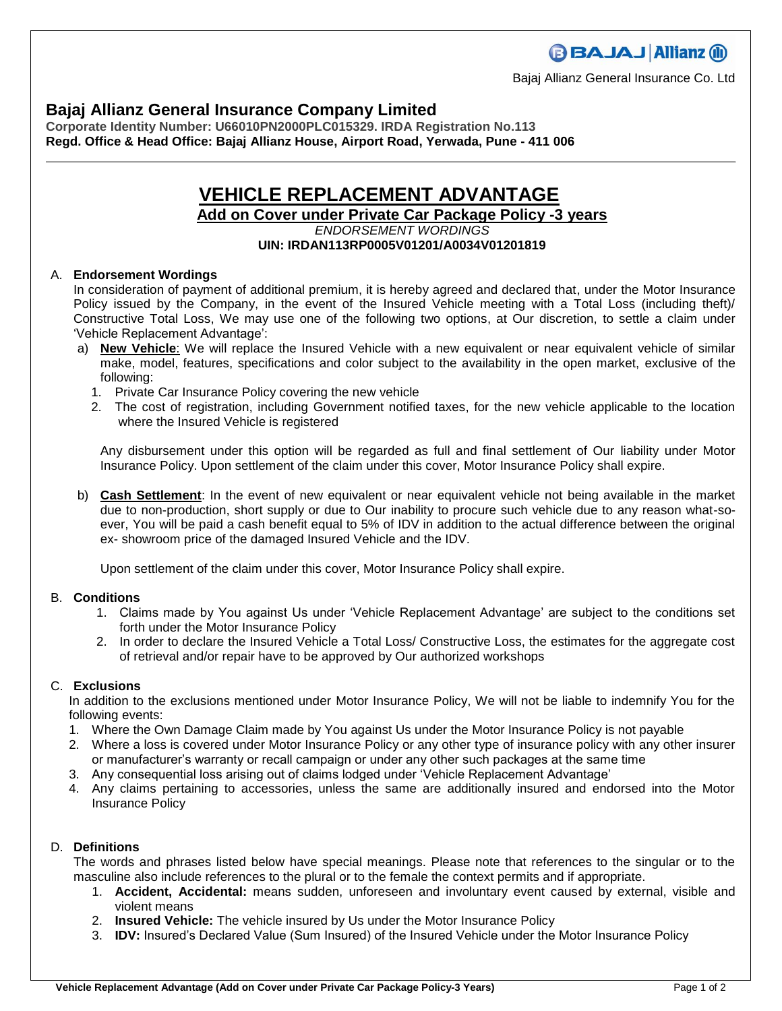## **Bajaj Allianz General Insurance Company Limited**

**Corporate Identity Number: U66010PN2000PLC015329. IRDA Registration No.113 Regd. Office & Head Office: Bajaj Allianz House, Airport Road, Yerwada, Pune - 411 006**

# **VEHICLE REPLACEMENT ADVANTAGE**

### **Add on Cover under Private Car Package Policy -3 years**

#### *ENDORSEMENT WORDINGS* **UIN: IRDAN113RP0005V01201/A0034V01201819**

#### A. **Endorsement Wordings**

In consideration of payment of additional premium, it is hereby agreed and declared that, under the Motor Insurance Policy issued by the Company, in the event of the Insured Vehicle meeting with a Total Loss (including theft)/ Constructive Total Loss, We may use one of the following two options, at Our discretion, to settle a claim under 'Vehicle Replacement Advantage':

- a) **New Vehicle**: We will replace the Insured Vehicle with a new equivalent or near equivalent vehicle of similar make, model, features, specifications and color subject to the availability in the open market, exclusive of the following:
	- 1. Private Car Insurance Policy covering the new vehicle
	- 2. The cost of registration, including Government notified taxes, for the new vehicle applicable to the location where the Insured Vehicle is registered

Any disbursement under this option will be regarded as full and final settlement of Our liability under Motor Insurance Policy. Upon settlement of the claim under this cover, Motor Insurance Policy shall expire.

b) **Cash Settlement**: In the event of new equivalent or near equivalent vehicle not being available in the market due to non-production, short supply or due to Our inability to procure such vehicle due to any reason what-soever, You will be paid a cash benefit equal to 5% of IDV in addition to the actual difference between the original ex- showroom price of the damaged Insured Vehicle and the IDV.

Upon settlement of the claim under this cover, Motor Insurance Policy shall expire.

#### B. **Conditions**

- 1. Claims made by You against Us under 'Vehicle Replacement Advantage' are subject to the conditions set forth under the Motor Insurance Policy
- 2. In order to declare the Insured Vehicle a Total Loss/ Constructive Loss, the estimates for the aggregate cost of retrieval and/or repair have to be approved by Our authorized workshops

#### C. **Exclusions**

In addition to the exclusions mentioned under Motor Insurance Policy, We will not be liable to indemnify You for the following events:

- 1. Where the Own Damage Claim made by You against Us under the Motor Insurance Policy is not payable
- 2. Where a loss is covered under Motor Insurance Policy or any other type of insurance policy with any other insurer or manufacturer's warranty or recall campaign or under any other such packages at the same time
- 3. Any consequential loss arising out of claims lodged under 'Vehicle Replacement Advantage'
- 4. Any claims pertaining to accessories, unless the same are additionally insured and endorsed into the Motor Insurance Policy

#### D. **Definitions**

The words and phrases listed below have special meanings. Please note that references to the singular or to the masculine also include references to the plural or to the female the context permits and if appropriate.

- 1. **Accident, Accidental:** means sudden, unforeseen and involuntary event caused by external, visible and violent means
- 2. **Insured Vehicle:** The vehicle insured by Us under the Motor Insurance Policy
- 3. **IDV:** Insured's Declared Value (Sum Insured) of the Insured Vehicle under the Motor Insurance Policy

Bajaj Allianz General Insurance Co. Ltd